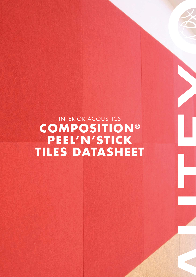INTERIOR ACOUSTICS **COMPOSITION® PEEL'N'STICK TILES DATASHEET**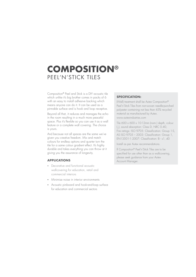## **COMPOSITION®** PEEL'N'STICK TILES

Composition® Peel and Stick is a DIY acoustic tile which unlike it's big brother comes in packs of 6 with an easy to install adhesive backing which means anyone can do it. It can be used as a pinnable surface and is hook and loop receptive.

Beyond all that, it reduces and manages the echo in the room resulting in a much more peaceful space. Plus it's flexible so you can use it as a wall feature or a complete wall covering. The choice is yours.

And because not all spaces are the same we've given you creative freedom. Mix and match colours for endless options and quarter turn the tile for a same colour gradient effect. It's highly durable and takes everything you can throw at it giving you the assurance of longevity.

## **APPLICATIONS**

- Decorative and functional acoustic wallcovering for education, retail and commercial interiors
- Minimise noise in interior environments
- Acoustic pinboard and hook-and-loop surface for education and commercial sectors

#### **SPECIFICATION:**

(Wall) treatment shall be Autex Composition® Peel'n'Stick Tiles from non-woven needle-punched polyester containing not less than 45% recycled material as manufactured by Autex. www.autexindustries.com

Tile 600 x 600 x 10-12mm (nom.) depth, colour (\_), sound absorption: Class D, NRC 0.40, Fire ratings: ISO 9705: Classification: Group 1-S, AS ISO 9705 - 2003: Classification: Group 1, EN13501-1:2007: Classification: B - s1, d0

Install as per Autex recommendations.

If Composition® Peel'n'Stick Tiles are to be specified for use other than as a wallcovering, please seek guidance from your Autex Account Manager.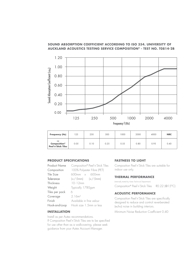## **SOUND ABSORPTION COEFFICIENT ACCORDING TO ISO 354. UNIVERSITY OF AUCKLAND ACOUSTICS TESTING SERVICE COMPOSITION® - TEST NO. T0814-2B**



| Frequency (Hz)                                                    | 125  | 250  | 500  | 000  | 2000 | 4000 | <b>NRC</b> |
|-------------------------------------------------------------------|------|------|------|------|------|------|------------|
| $\alpha$<br>Composition <sup>®</sup><br><b>Peel'n'Stick Tiles</b> | 0.05 | 0.10 | 0.25 | 0.55 | 0.80 | 0.95 | 0.40       |

## **PRODUCT SPECIFICATIONS**

| Product Name   | Composition® Peel'n'Stick Tiles |  |  |  |  |
|----------------|---------------------------------|--|--|--|--|
| Composition    | 100% Polyester Fibre (PET)      |  |  |  |  |
| Tile Size      | $600mm \times 600mm$            |  |  |  |  |
| Tolerance      | $(+/-5mm)$ $(+/-5mm)$           |  |  |  |  |
| Thickness      | $10 - 12$ mm                    |  |  |  |  |
| Weight         | Typically 1780gsm               |  |  |  |  |
| Tiles per pack | 6                               |  |  |  |  |
| Coverage       | 2.16m <sup>2</sup>              |  |  |  |  |
| Finish         | Available in fine velour        |  |  |  |  |
| Hook-and-Loop  | Hook size 1.5mm or less         |  |  |  |  |

#### **INSTALLATION**

Install as per Autex recommendations. If Composition Peel'n'Stick Tiles are to be specified for use other than as a wallcovering, please seek guidance from your Autex Account Manager.

## **FASTNESS TO LIGHT**

Composition Peel'n'Stick Tiles are suitable for indoor use only.

## **THERMAL PERFORMANCE**

(Internally tested by Autex Technical Department) Composition® Peel'n'Stick Tiles R0.22 (@15°C)

## **ACOUSTIC PERFORMANCE**

Composition Peel'n'Stick Tiles are specifically designed to reduce and control reverberated (echo) noise in building interiors.

Minimum Noise Reduction Coefficient 0.40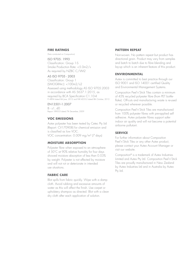#### **FIRE RATINGS**

(Tests conducted on Composition)

#### ISO 9705: 1993

Classification: Group 1-S Smoke Production Rate: <5.0m2/s As required by NZBC C/VM2

## AS ISO 9705 - 2003

Classification: Group 1 (SMOGRARC): <100m2/s2 Assessed using methodology AS ISO 9705:2003 in accordance with AS 5637.1:2015, as required by BCA Specification C1.10-4 FI 4894 dated 6th June, 2012 and FAR 4055-2 dated 8th October, 2013

EN13501-1:2007  $B - s1$ , dO Report 189053 dated 7th December, 2009

#### **VOC EMISSIONS**

Autex polyester has been tested by Cetec Pty Ltd (Report: CV170908) for chemical emission and is classified as low VOC. VOC concentration: 0.009 mg/m<sup>3</sup> (7 days)

### **MOISTURE ABSORPTION**

Polyester fibre when exposed to an atmosphere of 50˚C at 90% relative humidity for four days showed moisture absorption of less than 0.03% by weight. Polyester is not affected by moisture and will not rot or deteriorate in intended use situations.

## **FABRIC CARE**

Blot spills from fabric quickly. Wipe with a damp cloth. Avoid rubbing and excessive amounts of water as this will affect the finish. Use carpet or upholstery shampoo as directed. Blot with a clean dry cloth after each application of solution.

#### **PATTERN REPEAT**

Non-woven. No pattern repeat but product has directional grain. Product may vary from samples and batch to batch due to fibre blending and lay-up which is an inherent feature of this product.

### **ENVIRONMENTAL**

Autex is committed to best practice through our ISO 9001 and ISO 14001 certified Quality and Environmental Management Systems.

Composition Peel'n'Stick Tiles contain a minimum of 45% recycled polyester fibre (from PET bottleflake). Off-cuts and manufacturing waste is re-used or recycled wherever possible.

Composition Peel'n'Stick Tiles are manufactured from 100% polyester fibres with pre-applied self adhesive. Autex polyester fibres support safer indoor air quality and will not become a potential airborne pollutant.

#### **SERVICE**

For further information about Composition Peel'n'Stick Tiles or any other Autex product, please contact your Autex Account Manager or visit our website.

Composition® is a trademark of Autex Industries Limited and Autex Pty Ltd. Composition Peel'n'Stick Tiles are proudly manufactured in New Zealand by Autex Industries Ltd and in Australia by Autex Pty Ltd.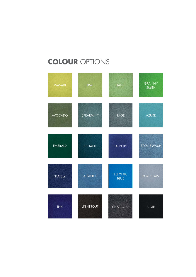## **COLOUR** OPTIONS